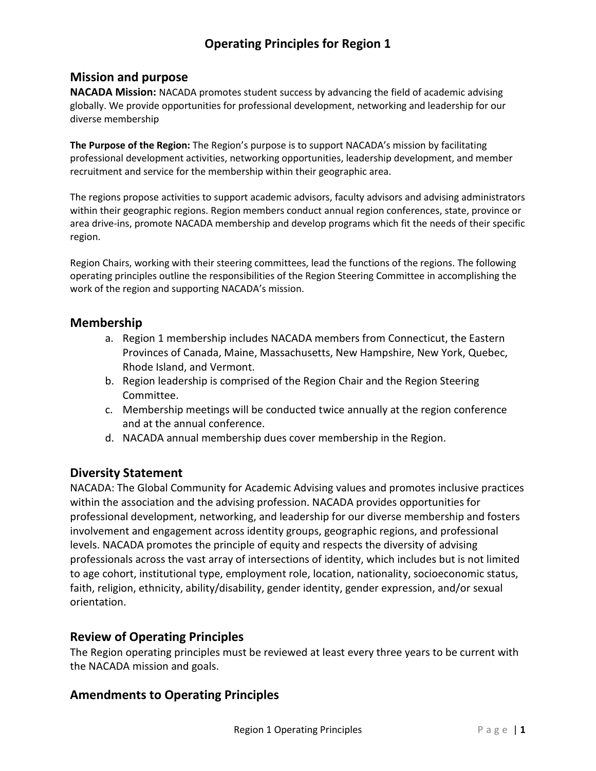# **Operating Principles for Region 1**

## **Mission and purpose**

**NACADA Mission:** NACADA promotes student success by advancing the field of academic advising globally. We provide opportunities for professional development, networking and leadership for our diverse membership

**The Purpose of the Region:** The Region's purpose is to support NACADA's mission by facilitating professional development activities, networking opportunities, leadership development, and member recruitment and service for the membership within their geographic area.

The regions propose activities to support academic advisors, faculty advisors and advising administrators within their geographic regions. Region members conduct annual region conferences, state, province or area drive-ins, promote NACADA membership and develop programs which fit the needs of their specific region.

Region Chairs, working with their steering committees, lead the functions of the regions. The following operating principles outline the responsibilities of the Region Steering Committee in accomplishing the work of the region and supporting NACADA's mission.

### **Membership**

- a. Region 1 membership includes NACADA members from Connecticut, the Eastern Provinces of Canada, Maine, Massachusetts, New Hampshire, New York, Quebec, Rhode Island, and Vermont.
- b. Region leadership is comprised of the Region Chair and the Region Steering Committee.
- c. Membership meetings will be conducted twice annually at the region conference and at the annual conference.
- d. NACADA annual membership dues cover membership in the Region.

## **Diversity Statement**

NACADA: The Global Community for Academic Advising values and promotes inclusive practices within the association and the advising profession. NACADA provides opportunities for professional development, networking, and leadership for our diverse membership and fosters involvement and engagement across identity groups, geographic regions, and professional levels. NACADA promotes the principle of equity and respects the diversity of advising professionals across the vast array of intersections of identity, which includes but is not limited to age cohort, institutional type, employment role, location, nationality, socioeconomic status, faith, religion, ethnicity, ability/disability, gender identity, gender expression, and/or sexual orientation.

## **Review of Operating Principles**

The Region operating principles must be reviewed at least every three years to be current with the NACADA mission and goals.

## **Amendments to Operating Principles**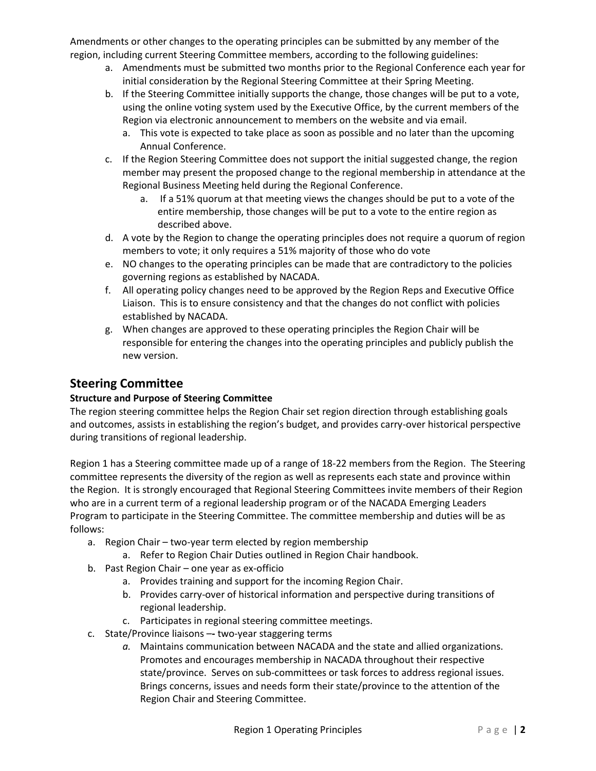Amendments or other changes to the operating principles can be submitted by any member of the region, including current Steering Committee members, according to the following guidelines:

- a. Amendments must be submitted two months prior to the Regional Conference each year for initial consideration by the Regional Steering Committee at their Spring Meeting.
- b. If the Steering Committee initially supports the change, those changes will be put to a vote, using the online voting system used by the Executive Office, by the current members of the Region via electronic announcement to members on the website and via email.
	- a. This vote is expected to take place as soon as possible and no later than the upcoming Annual Conference.
- c. If the Region Steering Committee does not support the initial suggested change, the region member may present the proposed change to the regional membership in attendance at the Regional Business Meeting held during the Regional Conference.
	- a. If a 51% quorum at that meeting views the changes should be put to a vote of the entire membership, those changes will be put to a vote to the entire region as described above.
- d. A vote by the Region to change the operating principles does not require a quorum of region members to vote; it only requires a 51% majority of those who do vote
- e. NO changes to the operating principles can be made that are contradictory to the policies governing regions as established by NACADA.
- f. All operating policy changes need to be approved by the Region Reps and Executive Office Liaison. This is to ensure consistency and that the changes do not conflict with policies established by NACADA.
- g. When changes are approved to these operating principles the Region Chair will be responsible for entering the changes into the operating principles and publicly publish the new version.

## **Steering Committee**

## **Structure and Purpose of Steering Committee**

The region steering committee helps the Region Chair set region direction through establishing goals and outcomes, assists in establishing the region's budget, and provides carry-over historical perspective during transitions of regional leadership.

Region 1 has a Steering committee made up of a range of 18-22 members from the Region. The Steering committee represents the diversity of the region as well as represents each state and province within the Region. It is strongly encouraged that Regional Steering Committees invite members of their Region who are in a current term of a regional leadership program or of the NACADA Emerging Leaders Program to participate in the Steering Committee. The committee membership and duties will be as follows:

- a. Region Chair two-year term elected by region membership
	- a. Refer to Region Chair Duties outlined in Region Chair handbook.
- b. Past Region Chair one year as ex-officio
	- a. Provides training and support for the incoming Region Chair.
	- b. Provides carry-over of historical information and perspective during transitions of regional leadership.
	- c. Participates in regional steering committee meetings.
- c. State/Province liaisons –**-** two-year staggering terms
	- *a.* Maintains communication between NACADA and the state and allied organizations. Promotes and encourages membership in NACADA throughout their respective state/province. Serves on sub-committees or task forces to address regional issues. Brings concerns, issues and needs form their state/province to the attention of the Region Chair and Steering Committee.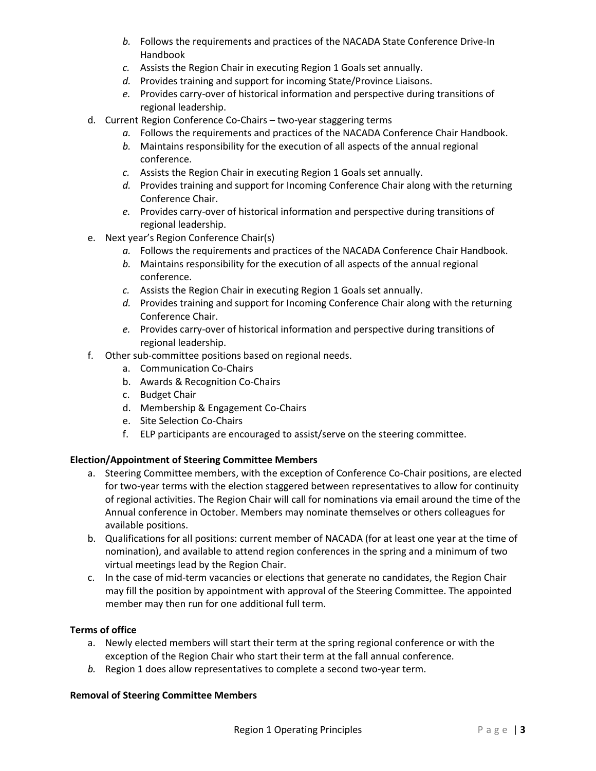- *b.* Follows the requirements and practices of the NACADA State Conference Drive-In Handbook
- *c.* Assists the Region Chair in executing Region 1 Goals set annually.
- *d.* Provides training and support for incoming State/Province Liaisons.
- *e.* Provides carry-over of historical information and perspective during transitions of regional leadership.
- d. Current Region Conference Co-Chairs two-year staggering terms
	- *a.* Follows the requirements and practices of the NACADA Conference Chair Handbook.
	- *b.* Maintains responsibility for the execution of all aspects of the annual regional conference.
	- *c.* Assists the Region Chair in executing Region 1 Goals set annually.
	- *d.* Provides training and support for Incoming Conference Chair along with the returning Conference Chair.
	- *e.* Provides carry-over of historical information and perspective during transitions of regional leadership.
- e. Next year's Region Conference Chair(s)
	- *a.* Follows the requirements and practices of the NACADA Conference Chair Handbook.
	- *b.* Maintains responsibility for the execution of all aspects of the annual regional conference.
	- *c.* Assists the Region Chair in executing Region 1 Goals set annually.
	- *d.* Provides training and support for Incoming Conference Chair along with the returning Conference Chair.
	- *e.* Provides carry-over of historical information and perspective during transitions of regional leadership.
- f. Other sub-committee positions based on regional needs.
	- a. Communication Co-Chairs
	- b. Awards & Recognition Co-Chairs
	- c. Budget Chair
	- d. Membership & Engagement Co-Chairs
	- e. Site Selection Co-Chairs
	- f. ELP participants are encouraged to assist/serve on the steering committee.

#### **Election/Appointment of Steering Committee Members**

- a. Steering Committee members, with the exception of Conference Co-Chair positions, are elected for two-year terms with the election staggered between representatives to allow for continuity of regional activities. The Region Chair will call for nominations via email around the time of the Annual conference in October. Members may nominate themselves or others colleagues for available positions.
- b. Qualifications for all positions: current member of NACADA (for at least one year at the time of nomination), and available to attend region conferences in the spring and a minimum of two virtual meetings lead by the Region Chair.
- c. In the case of mid-term vacancies or elections that generate no candidates, the Region Chair may fill the position by appointment with approval of the Steering Committee. The appointed member may then run for one additional full term.

#### **Terms of office**

- a. Newly elected members will start their term at the spring regional conference or with the exception of the Region Chair who start their term at the fall annual conference.
- *b.* Region 1 does allow representatives to complete a second two-year term.

#### **Removal of Steering Committee Members**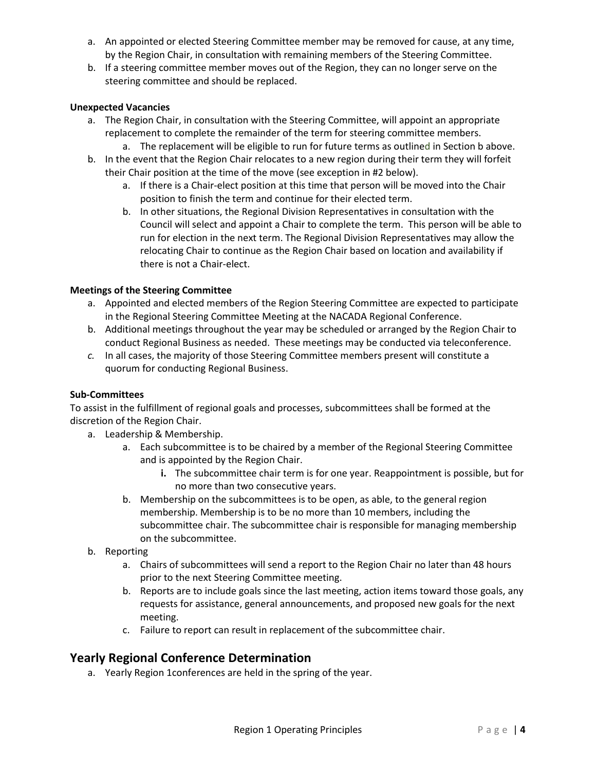- a. An appointed or elected Steering Committee member may be removed for cause, at any time, by the Region Chair, in consultation with remaining members of the Steering Committee.
- b. If a steering committee member moves out of the Region, they can no longer serve on the steering committee and should be replaced.

#### **Unexpected Vacancies**

- a. The Region Chair, in consultation with the Steering Committee, will appoint an appropriate replacement to complete the remainder of the term for steering committee members.
	- a. The replacement will be eligible to run for future terms as outlined in Section b above.
- b. In the event that the Region Chair relocates to a new region during their term they will forfeit their Chair position at the time of the move (see exception in #2 below).
	- a. If there is a Chair-elect position at this time that person will be moved into the Chair position to finish the term and continue for their elected term.
	- b. In other situations, the Regional Division Representatives in consultation with the Council will select and appoint a Chair to complete the term. This person will be able to run for election in the next term. The Regional Division Representatives may allow the relocating Chair to continue as the Region Chair based on location and availability if there is not a Chair-elect.

#### **Meetings of the Steering Committee**

- a. Appointed and elected members of the Region Steering Committee are expected to participate in the Regional Steering Committee Meeting at the NACADA Regional Conference.
- b. Additional meetings throughout the year may be scheduled or arranged by the Region Chair to conduct Regional Business as needed. These meetings may be conducted via teleconference.
- *c.* In all cases, the majority of those Steering Committee members present will constitute a quorum for conducting Regional Business.

#### **Sub-Committees**

To assist in the fulfillment of regional goals and processes, subcommittees shall be formed at the discretion of the Region Chair.

- a. Leadership & Membership.
	- a. Each subcommittee is to be chaired by a member of the Regional Steering Committee and is appointed by the Region Chair.
		- **i.** The subcommittee chair term is for one year. Reappointment is possible, but for no more than two consecutive years.
	- b. Membership on the subcommittees is to be open, as able, to the general region membership. Membership is to be no more than 10 members, including the subcommittee chair. The subcommittee chair is responsible for managing membership on the subcommittee.
- b. Reporting
	- a. Chairs of subcommittees will send a report to the Region Chair no later than 48 hours prior to the next Steering Committee meeting.
	- b. Reports are to include goals since the last meeting, action items toward those goals, any requests for assistance, general announcements, and proposed new goals for the next meeting.
	- c. Failure to report can result in replacement of the subcommittee chair.

## **Yearly Regional Conference Determination**

a. Yearly Region 1conferences are held in the spring of the year.